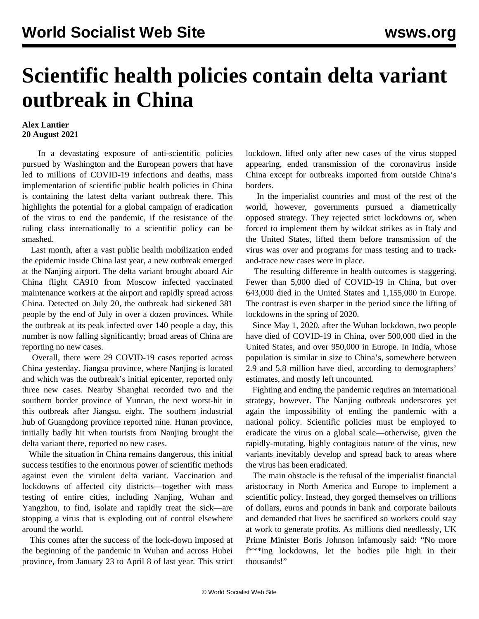## **Scientific health policies contain delta variant outbreak in China**

## **Alex Lantier 20 August 2021**

 In a devastating exposure of anti-scientific policies pursued by Washington and the European powers that have led to millions of COVID-19 infections and deaths, mass implementation of scientific public health policies in China is containing the latest delta variant outbreak there. This highlights the potential for a global campaign of eradication of the virus to end the pandemic, if the resistance of the ruling class internationally to a scientific policy can be smashed.

 Last month, after a vast public health mobilization ended the epidemic inside China last year, a new outbreak emerged at the Nanjing airport. The delta variant brought aboard Air China flight CA910 from Moscow infected vaccinated maintenance workers at the airport and rapidly spread across China. Detected on July 20, the outbreak had sickened 381 people by the end of July in over a dozen provinces. While the outbreak at its peak infected over 140 people a day, this number is now falling significantly; broad areas of China are reporting no new cases.

 Overall, there were 29 COVID-19 cases reported across China yesterday. Jiangsu province, where Nanjing is located and which was the outbreak's initial epicenter, reported only three new cases. Nearby Shanghai recorded two and the southern border province of Yunnan, the next worst-hit in this outbreak after Jiangsu, eight. The southern industrial hub of Guangdong province reported nine. Hunan province, initially badly hit when tourists from Nanjing brought the delta variant there, reported no new cases.

 While the situation in China remains dangerous, this initial success testifies to the enormous power of scientific methods against even the virulent delta variant. Vaccination and lockdowns of affected city districts—together with mass testing of entire cities, including Nanjing, Wuhan and Yangzhou, to find, isolate and rapidly treat the sick—are stopping a virus that is exploding out of control elsewhere around the world.

 This comes after the success of the lock-down imposed at the beginning of the pandemic in Wuhan and across Hubei province, from January 23 to April 8 of last year. This strict lockdown, lifted only after new cases of the virus stopped appearing, ended transmission of the coronavirus inside China except for outbreaks imported from outside China's borders.

 In the imperialist countries and most of the rest of the world, however, governments pursued a diametrically opposed strategy. They rejected strict lockdowns or, when forced to implement them by wildcat strikes as in Italy and the United States, lifted them before transmission of the virus was over and programs for mass testing and to trackand-trace new cases were in place.

 The resulting difference in health outcomes is staggering. Fewer than 5,000 died of COVID-19 in China, but over 643,000 died in the United States and 1,155,000 in Europe. The contrast is even sharper in the period since the lifting of lockdowns in the spring of 2020.

 Since May 1, 2020, after the Wuhan lockdown, two people have died of COVID-19 in China, over 500,000 died in the United States, and over 950,000 in Europe. In India, whose population is similar in size to China's, somewhere between 2.9 and 5.8 million have died, according to demographers' estimates, and mostly left uncounted.

 Fighting and ending the pandemic requires an international strategy, however. The Nanjing outbreak underscores yet again the impossibility of ending the pandemic with a national policy. Scientific policies must be employed to eradicate the virus on a global scale—otherwise, given the rapidly-mutating, highly contagious nature of the virus, new variants inevitably develop and spread back to areas where the virus has been eradicated.

 The main obstacle is the refusal of the imperialist financial aristocracy in North America and Europe to implement a scientific policy. Instead, they gorged themselves on trillions of dollars, euros and pounds in bank and corporate bailouts and demanded that lives be sacrificed so workers could stay at work to generate profits. As millions died needlessly, UK Prime Minister Boris Johnson infamously said: "No more f\*\*\*ing lockdowns, let the bodies pile high in their thousands!"